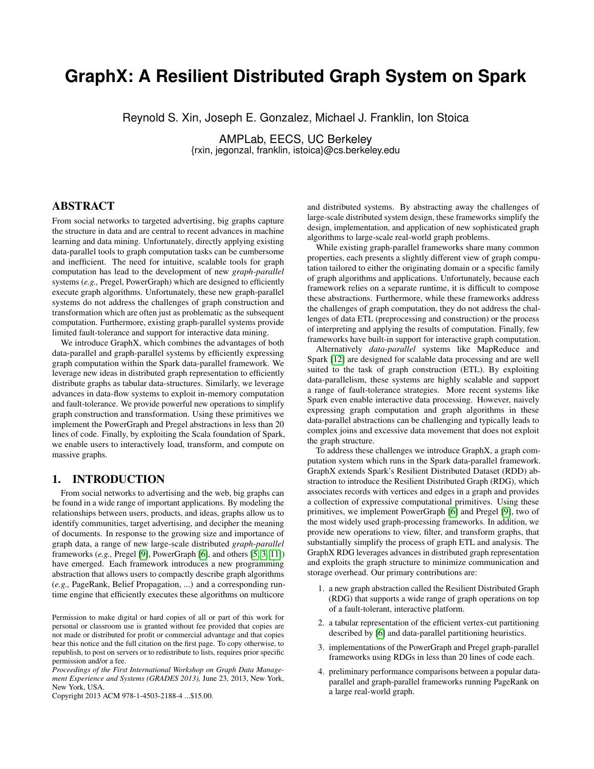# **GraphX: A Resilient Distributed Graph System on Spark**

Reynold S. Xin, Joseph E. Gonzalez, Michael J. Franklin, Ion Stoica

AMPLab, EECS, UC Berkeley {rxin, jegonzal, franklin, istoica}@cs.berkeley.edu

# ABSTRACT

From social networks to targeted advertising, big graphs capture the structure in data and are central to recent advances in machine learning and data mining. Unfortunately, directly applying existing data-parallel tools to graph computation tasks can be cumbersome and inefficient. The need for intuitive, scalable tools for graph computation has lead to the development of new *graph-parallel* systems (*e.g.,* Pregel, PowerGraph) which are designed to efficiently execute graph algorithms. Unfortunately, these new graph-parallel systems do not address the challenges of graph construction and transformation which are often just as problematic as the subsequent computation. Furthermore, existing graph-parallel systems provide limited fault-tolerance and support for interactive data mining.

We introduce GraphX, which combines the advantages of both data-parallel and graph-parallel systems by efficiently expressing graph computation within the Spark data-parallel framework. We leverage new ideas in distributed graph representation to efficiently distribute graphs as tabular data-structures. Similarly, we leverage advances in data-flow systems to exploit in-memory computation and fault-tolerance. We provide powerful new operations to simplify graph construction and transformation. Using these primitives we implement the PowerGraph and Pregel abstractions in less than 20 lines of code. Finally, by exploiting the Scala foundation of Spark, we enable users to interactively load, transform, and compute on massive graphs.

## <span id="page-0-0"></span>1. INTRODUCTION

From social networks to advertising and the web, big graphs can be found in a wide range of important applications. By modeling the relationships between users, products, and ideas, graphs allow us to identify communities, target advertising, and decipher the meaning of documents. In response to the growing size and importance of graph data, a range of new large-scale distributed *graph-parallel* frameworks (*e.g.,* Pregel [\[9\]](#page-5-0), PowerGraph [\[6\]](#page-5-1), and others [\[5,](#page-5-2) [3,](#page-5-3) [11\]](#page-5-4)) have emerged. Each framework introduces a new programming abstraction that allows users to compactly describe graph algorithms (*e.g.,* PageRank, Belief Propagation, ...) and a corresponding runtime engine that efficiently executes these algorithms on multicore

Copyright 2013 ACM 978-1-4503-2188-4 ...\$15.00.

and distributed systems. By abstracting away the challenges of large-scale distributed system design, these frameworks simplify the design, implementation, and application of new sophisticated graph algorithms to large-scale real-world graph problems.

While existing graph-parallel frameworks share many common properties, each presents a slightly different view of graph computation tailored to either the originating domain or a specific family of graph algorithms and applications. Unfortunately, because each framework relies on a separate runtime, it is difficult to compose these abstractions. Furthermore, while these frameworks address the challenges of graph computation, they do not address the challenges of data ETL (preprocessing and construction) or the process of interpreting and applying the results of computation. Finally, few frameworks have built-in support for interactive graph computation.

Alternatively *data-parallel* systems like MapReduce and Spark [\[12\]](#page-5-5) are designed for scalable data processing and are well suited to the task of graph construction (ETL). By exploiting data-parallelism, these systems are highly scalable and support a range of fault-tolerance strategies. More recent systems like Spark even enable interactive data processing. However, naively expressing graph computation and graph algorithms in these data-parallel abstractions can be challenging and typically leads to complex joins and excessive data movement that does not exploit the graph structure.

To address these challenges we introduce GraphX, a graph computation system which runs in the Spark data-parallel framework. GraphX extends Spark's Resilient Distributed Dataset (RDD) abstraction to introduce the Resilient Distributed Graph (RDG), which associates records with vertices and edges in a graph and provides a collection of expressive computational primitives. Using these primitives, we implement PowerGraph [\[6\]](#page-5-1) and Pregel [\[9\]](#page-5-0), two of the most widely used graph-processing frameworks. In addition, we provide new operations to view, filter, and transform graphs, that substantially simplify the process of graph ETL and analysis. The GraphX RDG leverages advances in distributed graph representation and exploits the graph structure to minimize communication and storage overhead. Our primary contributions are:

- 1. a new graph abstraction called the Resilient Distributed Graph (RDG) that supports a wide range of graph operations on top of a fault-tolerant, interactive platform.
- <span id="page-0-1"></span>2. a tabular representation of the efficient vertex-cut partitioning described by [\[6\]](#page-5-1) and data-parallel partitioning heuristics.
- 3. implementations of the PowerGraph and Pregel graph-parallel frameworks using RDGs in less than 20 lines of code each.
- 4. preliminary performance comparisons between a popular dataparallel and graph-parallel frameworks running PageRank on a large real-world graph.

Permission to make digital or hard copies of all or part of this work for personal or classroom use is granted without fee provided that copies are not made or distributed for profit or commercial advantage and that copies bear this notice and the full citation on the first page. To copy otherwise, to republish, to post on servers or to redistribute to lists, requires prior specific permission and/or a fee.

*Proceedings of the First International Workshop on Graph Data Management Experience and Systems (GRADES 2013),* June 23, 2013, New York, New York, USA.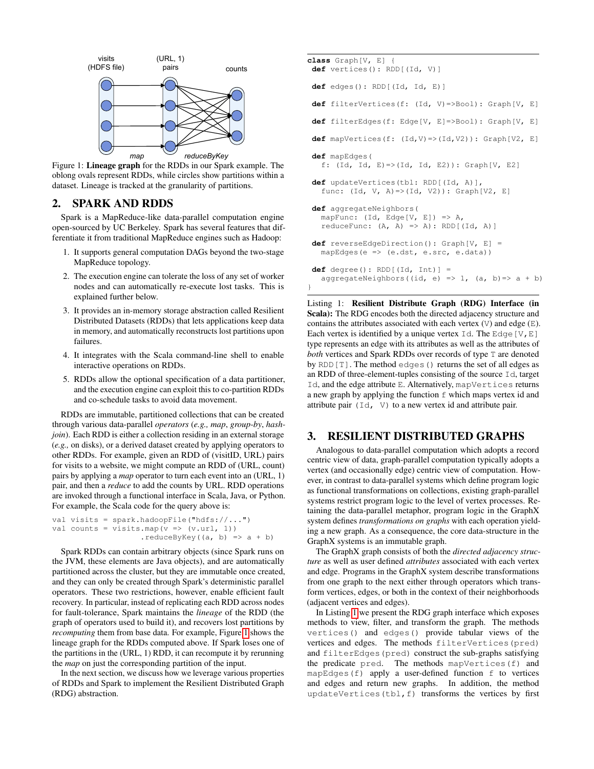<span id="page-1-0"></span>

Figure 1: Lineage graph for the RDDs in our Spark example. The oblong ovals represent RDDs, while circles show partitions within a dataset. Lineage is tracked at the granularity of partitions.

#### 2. SPARK AND RDDS

Spark is a MapReduce-like data-parallel computation engine open-sourced by UC Berkeley. Spark has several features that differentiate it from traditional MapReduce engines such as Hadoop:

- 1. It supports general computation DAGs beyond the two-stage MapReduce topology.
- 2. The execution engine can tolerate the loss of any set of worker nodes and can automatically re-execute lost tasks. This is explained further below.
- 3. It provides an in-memory storage abstraction called Resilient Distributed Datasets (RDDs) that lets applications keep data in memory, and automatically reconstructs lost partitions upon failures.
- 4. It integrates with the Scala command-line shell to enable interactive operations on RDDs.
- 5. RDDs allow the optional specification of a data partitioner, and the execution engine can exploit this to co-partition RDDs and co-schedule tasks to avoid data movement.

RDDs are immutable, partitioned collections that can be created through various data-parallel *operators* (*e.g., map*, *group-by*, *hashjoin*). Each RDD is either a collection residing in an external storage (*e.g.,* on disks), or a derived dataset created by applying operators to other RDDs. For example, given an RDD of (visitID, URL) pairs for visits to a website, we might compute an RDD of (URL, count) pairs by applying a *map* operator to turn each event into an (URL, 1) pair, and then a *reduce* to add the counts by URL. RDD operations are invoked through a functional interface in Scala, Java, or Python. For example, the Scala code for the query above is:

```
val visits = spark.hadoopFile("hdfs://...")
val counts = visits.map(v \Rightarrow (v.url, 1))
                      .reduceByKey((a, b) \Rightarrow a + b)
```
Spark RDDs can contain arbitrary objects (since Spark runs on the JVM, these elements are Java objects), and are automatically partitioned across the cluster, but they are immutable once created, and they can only be created through Spark's deterministic parallel operators. These two restrictions, however, enable efficient fault recovery. In particular, instead of replicating each RDD across nodes for fault-tolerance, Spark maintains the *lineage* of the RDD (the graph of operators used to build it), and recovers lost partitions by *recomputing* them from base data. For example, Figure [1](#page-1-0) shows the lineage graph for the RDDs computed above. If Spark loses one of the partitions in the (URL, 1) RDD, it can recompute it by rerunning the *map* on just the corresponding partition of the input.

In the next section, we discuss how we leverage various properties of RDDs and Spark to implement the Resilient Distributed Graph (RDG) abstraction.

```
class Graph[V, E] {
 def vertices(): RDD[(Id, V)]
 def edges(): RDD[(Id, Id, E)]
 def filterVertices(f: (Id, V)=>Bool): Graph[V, E]
 def filterEdges(f: Edge[V, E]=>Bool): Graph[V, E]
 def mapVertices(f: (\text{Id}, V) \Rightarrow (\text{Id}, V2)): Graph[V2, E]
 def mapEdges(
   f: (Id, Id, E) \Rightarrow (Id, Id, E2)): Graph[V, E2]def updateVertices(tbl: RDD[(Id, A)],
   func: (Id, V, A) \Rightarrow (Id, V2)): Graph[V2, E]def aggregateNeighbors(
   mapFunc: (Id, Edge[V, E]) => A,
   reduceFunc: (A, A) \Rightarrow A): RDD[(Id, A)]
 def reverseEdgeDirection(): Graph[V, E] =
   mapEdges(e => (e.dst, e.src, e.data))
 def degree(): RDD[Id, Int)] =aggregateNeighbors((id, e) => 1, (a, b) => a + b)
}
```
Listing 1: Resilient Distribute Graph (RDG) Interface (in Scala): The RDG encodes both the directed adjacency structure and contains the attributes associated with each vertex  $(V)$  and edge  $(E)$ . Each vertex is identified by a unique vertex  $Id$ . The Edge [V, E] type represents an edge with its attributes as well as the attributes of *both* vertices and Spark RDDs over records of type T are denoted by RDD $[T]$ . The method edges() returns the set of all edges as an RDD of three-element-tuples consisting of the source Id, target Id, and the edge attribute E. Alternatively, mapVertices returns a new graph by applying the function  $f$  which maps vertex id and attribute pair  $(\text{Id}, \text{V})$  to a new vertex id and attribute pair.

#### 3. RESILIENT DISTRIBUTED GRAPHS

Analogous to data-parallel computation which adopts a record centric view of data, graph-parallel computation typically adopts a vertex (and occasionally edge) centric view of computation. However, in contrast to data-parallel systems which define program logic as functional transformations on collections, existing graph-parallel systems restrict program logic to the level of vertex processes. Retaining the data-parallel metaphor, program logic in the GraphX system defines *transformations on graphs* with each operation yielding a new graph. As a consequence, the core data-structure in the GraphX systems is an immutable graph.

The GraphX graph consists of both the *directed adjacency structure* as well as user defined *attributes* associated with each vertex and edge. Programs in the GraphX system describe transformations from one graph to the next either through operators which transform vertices, edges, or both in the context of their neighborhoods (adjacent vertices and edges).

In Listing [1](#page-1-1) we present the RDG graph interface which exposes methods to view, filter, and transform the graph. The methods vertices() and edges() provide tabular views of the vertices and edges. The methods filterVertices(pred) and filterEdges(pred) construct the sub-graphs satisfying the predicate pred. The methods mapVertices(f) and mapEdges(f) apply a user-defined function f to vertices and edges and return new graphs. In addition, the method updateVertices(tbl,f) transforms the vertices by first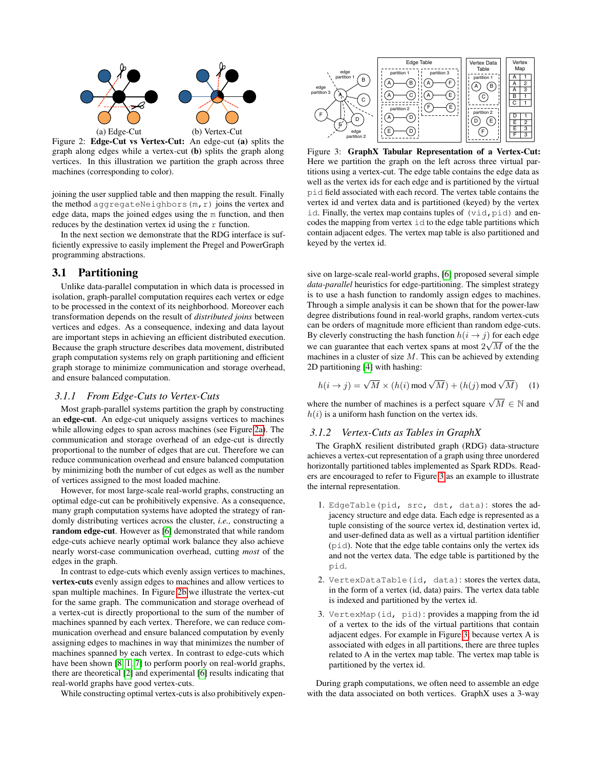<span id="page-2-3"></span><span id="page-2-1"></span><span id="page-2-0"></span>

Figure 2: Edge-Cut vs Vertex-Cut: An edge-cut (a) splits the graph along edges while a vertex-cut (b) splits the graph along vertices. In this illustration we partition the graph across three machines (corresponding to color).

joining the user supplied table and then mapping the result. Finally the method aggregateNeighbors $(m, r)$  joins the vertex and edge data, maps the joined edges using the m function, and then reduces by the destination vertex id using the  $r$  function.

In the next section we demonstrate that the RDG interface is sufficiently expressive to easily implement the Pregel and PowerGraph programming abstractions.

#### 3.1 Partitioning

Unlike data-parallel computation in which data is processed in isolation, graph-parallel computation requires each vertex or edge to be processed in the context of its neighborhood. Moreover each transformation depends on the result of *distributed joins* between vertices and edges. As a consequence, indexing and data layout are important steps in achieving an efficient distributed execution. Because the graph structure describes data movement, distributed graph computation systems rely on graph partitioning and efficient graph storage to minimize communication and storage overhead, and ensure balanced computation.

#### *3.1.1 From Edge-Cuts to Vertex-Cuts*

Most graph-parallel systems partition the graph by constructing an edge-cut. An edge-cut uniquely assigns vertices to machines while allowing edges to span across machines (see Figure [2a\)](#page-2-0). The communication and storage overhead of an edge-cut is directly proportional to the number of edges that are cut. Therefore we can reduce communication overhead and ensure balanced computation by minimizing both the number of cut edges as well as the number of vertices assigned to the most loaded machine.

However, for most large-scale real-world graphs, constructing an optimal edge-cut can be prohibitively expensive. As a consequence, many graph computation systems have adopted the strategy of randomly distributing vertices across the cluster, *i.e.,* constructing a random edge-cut. However as [\[6\]](#page-5-1) demonstrated that while random edge-cuts achieve nearly optimal work balance they also achieve nearly worst-case communication overhead, cutting *most* of the edges in the graph.

In contrast to edge-cuts which evenly assign vertices to machines, vertex-cuts evenly assign edges to machines and allow vertices to span multiple machines. In Figure [2b](#page-2-1) we illustrate the vertex-cut for the same graph. The communication and storage overhead of a vertex-cut is directly proportional to the sum of the number of machines spanned by each vertex. Therefore, we can reduce communication overhead and ensure balanced computation by evenly assigning edges to machines in way that minimizes the number of machines spanned by each vertex. In contrast to edge-cuts which have been shown [\[8,](#page-5-6) [1,](#page-5-7) [7\]](#page-5-8) to perform poorly on real-world graphs, there are theoretical [\[2\]](#page-5-9) and experimental [\[6\]](#page-5-1) results indicating that real-world graphs have good vertex-cuts.

While constructing optimal vertex-cuts is also prohibitively expen-

<span id="page-2-2"></span>

Figure 3: GraphX Tabular Representation of a Vertex-Cut: Here we partition the graph on the left across three virtual partitions using a vertex-cut. The edge table contains the edge data as well as the vertex ids for each edge and is partitioned by the virtual pid field associated with each record. The vertex table contains the vertex id and vertex data and is partitioned (keyed) by the vertex id. Finally, the vertex map contains tuples of  $(\text{vid}, \text{pid})$  and encodes the mapping from vertex id to the edge table partitions which contain adjacent edges. The vertex map table is also partitioned and keyed by the vertex id.

sive on large-scale real-world graphs, [\[6\]](#page-5-1) proposed several simple *data-parallel* heuristics for edge-partitioning. The simplest strategy is to use a hash function to randomly assign edges to machines. Through a simple analysis it can be shown that for the power-law degree distributions found in real-world graphs, random vertex-cuts can be orders of magnitude more efficient than random edge-cuts. By cleverly constructing the hash function  $h(i \rightarrow j)$  for each edge we can guarantee that each vertex spans at most  $2\sqrt{M}$  of the the machines in a cluster of size  $M$ . This can be achieved by extending 2D partitioning [\[4\]](#page-5-10) with hashing:

$$
h(i \to j) = \sqrt{M} \times (h(i) \mod \sqrt{M}) + (h(j) \mod \sqrt{M}) \quad (1)
$$

where the number of machines is a perfect square  $\sqrt{M} \in \mathbb{N}$  and  $h(i)$  is a uniform hash function on the vertex ids.

#### *3.1.2 Vertex-Cuts as Tables in GraphX*

The GraphX resilient distributed graph (RDG) data-structure achieves a vertex-cut representation of a graph using three unordered horizontally partitioned tables implemented as Spark RDDs. Readers are encouraged to refer to Figure [3](#page-2-2) as an example to illustrate the internal representation.

- 1. EdgeTable(pid, src, dst, data): stores the adjacency structure and edge data. Each edge is represented as a tuple consisting of the source vertex id, destination vertex id, and user-defined data as well as a virtual partition identifier (pid). Note that the edge table contains only the vertex ids and not the vertex data. The edge table is partitioned by the pid.
- 2. VertexDataTable(id, data): stores the vertex data, in the form of a vertex (id, data) pairs. The vertex data table is indexed and partitioned by the vertex id.
- 3. VertexMap(id, pid): provides a mapping from the id of a vertex to the ids of the virtual partitions that contain adjacent edges. For example in Figure [3,](#page-2-2) because vertex A is associated with edges in all partitions, there are three tuples related to A in the vertex map table. The vertex map table is partitioned by the vertex id.

During graph computations, we often need to assemble an edge with the data associated on both vertices. GraphX uses a 3-way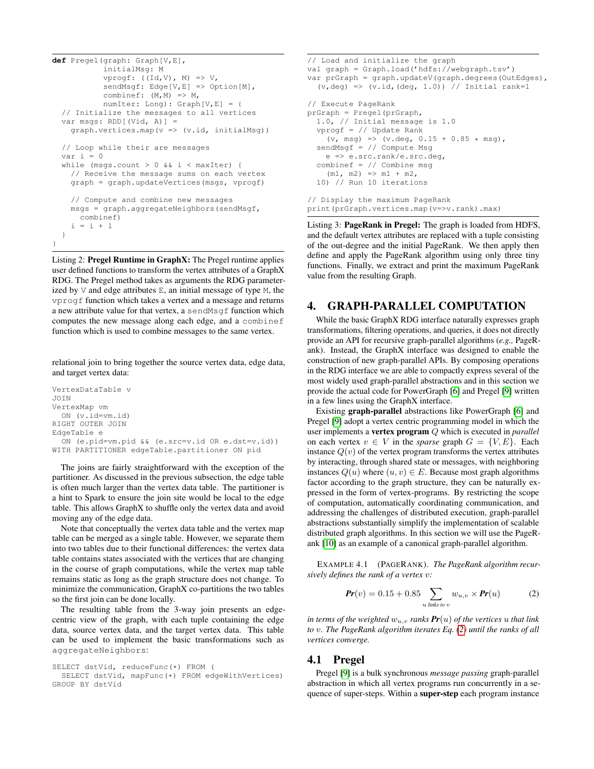```
def Pregel(graph: Graph[V,E],
           initialMsg: M
           vprogf: ((Id, V), M) \Rightarrow V,
           sendMsgf: Edge[V, E] => Option[M],
           combinef: (M, M) \Rightarrow M,
           numIter: Long): Graph[V,E] = {
  // Initialize the messages to all vertices
  var msgs: RDD[(Vid, A)] =
    graph.vertices.map(v => (v.id, initialMsg))
  // Loop while their are messages
  var i = 0
  while (msgs.count > 0 && i < maxIter) {
    // Receive the message sums on each vertex
    graph = graph.updateVertices(msgs, vprogf)
    // Compute and combine new messages
    msgs = graph.aggregateNeighbors(sendMsgf,
      combinef)
    i = i + 1}
}
```
Listing 2: Pregel Runtime in GraphX: The Pregel runtime applies user defined functions to transform the vertex attributes of a GraphX RDG. The Pregel method takes as arguments the RDG parameterized by  $\nabla$  and edge attributes  $E$ , an initial message of type  $M$ , the vprogf function which takes a vertex and a message and returns a new attribute value for that vertex, a sendMsqf function which computes the new message along each edge, and a combinef function which is used to combine messages to the same vertex.

relational join to bring together the source vertex data, edge data, and target vertex data:

```
VertexDataTable v
JOIN
VertexMap vm
 ON (v.id=vm.id)
RIGHT OUTER JOIN
EdgeTable e
 ON (e.pid=vm.pid && (e.src=v.id OR e.dst=v.id))
WITH PARTITIONER edgeTable.partitioner ON pid
```
The joins are fairly straightforward with the exception of the partitioner. As discussed in the previous subsection, the edge table is often much larger than the vertex data table. The partitioner is a hint to Spark to ensure the join site would be local to the edge table. This allows GraphX to shuffle only the vertex data and avoid moving any of the edge data.

Note that conceptually the vertex data table and the vertex map table can be merged as a single table. However, we separate them into two tables due to their functional differences: the vertex data table contains states associated with the vertices that are changing in the course of graph computations, while the vertex map table remains static as long as the graph structure does not change. To minimize the communication, GraphX co-partitions the two tables so the first join can be done locally.

The resulting table from the 3-way join presents an edgecentric view of the graph, with each tuple containing the edge data, source vertex data, and the target vertex data. This table can be used to implement the basic transformations such as aggregateNeighbors:

```
SELECT dstVid, reduceFunc(*) FROM (
 SELECT dstVid, mapFunc(*) FROM edgeWithVertices)
GROUP BY dstVid
```

```
// Load and initialize the graph
val graph = Graph.load('hdfs://webgraph.tsv')
var prGraph = graph.updateV(graph.degrees(OutEdges),
  (v, deg) \Rightarrow (v.id, (deg, 1.0)) // Initial rank=1
// Execute PageRank
prGraph = Pregel(prGraph,
  1.0, // Initial message is 1.0
  vprogf = // Update Rank
    (v, msg) => (v.deg, 0.15 + 0.85 \times msg),
  sendMsgf = // Compute Msge => e.src.rank/e.src.deg,
  combinef = // Combine msg
    (m1, m2) => m1 + m2,
  10) // Run 10 iterations
// Display the maximum PageRank
print(prGraph.vertices.map(v=>v.rank).max)
```
Listing 3: PageRank in Pregel: The graph is loaded from HDFS, and the default vertex attributes are replaced with a tuple consisting of the out-degree and the initial PageRank. We then apply then define and apply the PageRank algorithm using only three tiny functions. Finally, we extract and print the maximum PageRank value from the resulting Graph.

#### <span id="page-3-3"></span>4. GRAPH-PARALLEL COMPUTATION

While the basic GraphX RDG interface naturally expresses graph transformations, filtering operations, and queries, it does not directly provide an API for recursive graph-parallel algorithms (*e.g.,* PageRank). Instead, the GraphX interface was designed to enable the construction of new graph-parallel APIs. By composing operations in the RDG interface we are able to compactly express several of the most widely used graph-parallel abstractions and in this section we provide the actual code for PowerGraph [\[6\]](#page-5-1) and Pregel [\[9\]](#page-5-0) written in a few lines using the GraphX interface.

Existing graph-parallel abstractions like PowerGraph [\[6\]](#page-5-1) and Pregel [\[9\]](#page-5-0) adopt a vertex centric programming model in which the user implements a vertex program Q which is executed in *parallel* on each vertex  $v \in V$  in the *sparse* graph  $G = \{V, E\}$ . Each instance  $Q(v)$  of the vertex program transforms the vertex attributes by interacting, through shared state or messages, with neighboring instances  $Q(u)$  where  $(u, v) \in E$ . Because most graph algorithms factor according to the graph structure, they can be naturally expressed in the form of vertex-programs. By restricting the scope of computation, automatically coordinating communication, and addressing the challenges of distributed execution, graph-parallel abstractions substantially simplify the implementation of scalable distributed graph algorithms. In this section we will use the PageRank [\[10\]](#page-5-11) as an example of a canonical graph-parallel algorithm.

EXAMPLE 4.1 (PAGERANK). *The PageRank algorithm recursively defines the rank of a vertex* v*:*

<span id="page-3-0"></span>
$$
Pr(v) = 0.15 + 0.85 \sum_{u \text{ links to } v} w_{u,v} \times Pr(u)
$$
 (2)

*in terms of the weighted*  $w_{u,v}$  *ranks*  $Pr(u)$  *of the vertices* u *that link to* v*. The PageRank algorithm iterates Eq. [\(2\)](#page-3-0) until the ranks of all vertices converge.*

### <span id="page-3-4"></span>4.1 Pregel

Pregel [\[9\]](#page-5-0) is a bulk synchronous *message passing* graph-parallel abstraction in which all vertex programs run concurrently in a sequence of super-steps. Within a super-step each program instance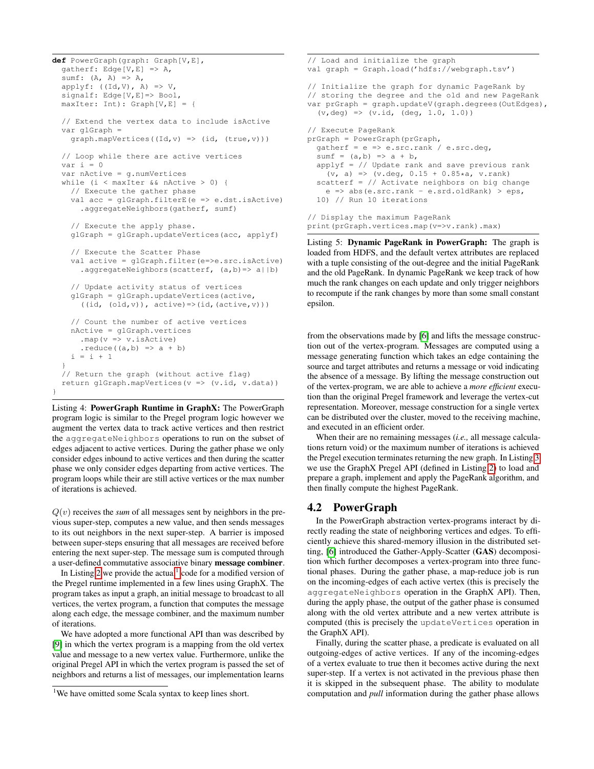```
def PowerGraph(graph: Graph[V,E],
  gatherf: Edge[V, E] => A,
  sumf: (A, A) \Rightarrow A,
  applyf: ((Id, V), A) \Rightarrow V,signalf: Edge[V, E]=> Bool,
  maxIter: Int): Graph[V,E] = {
  // Extend the vertex data to include isActive
  var glGraph =
    graph.\text{mapVertices}((Id, v) \Rightarrow (id, (true, v)))// Loop while there are active vertices
  var i = 0
  var nActive = g.numVertices
  while (i < maxIter \&\& nActive > 0) {
    // Execute the gather phase
    val acc = qlGraph.fitletE(e => e.dat.isActive).aggregateNeighbors(gatherf, sumf)
    // Execute the apply phase.
    glGraph = glGraph.updateVertices(acc, applyf)
    // Execute the Scatter Phase
    val active = glGraph.filter(e=>e.src.isActive)
      .aggregateNeighbors(scatterf, (a,b)=> a||b)
    // Update activity status of vertices
    glGraph = glGraph.updateVertices(active,
      ((id, (old, v)), active) \Rightarrow (id, (active, v)))// Count the number of active vertices
    nActive = glGraph.vertices
      .map(v \Rightarrow v.isActive)
      reluce((a,b) \Rightarrow a + b)i = i + 1}
  // Return the graph (without active flag)
  return glGraph.mapVertices(v => (v.id, v.data))
}
```
Listing 4: PowerGraph Runtime in GraphX: The PowerGraph program logic is similar to the Pregel program logic however we augment the vertex data to track active vertices and then restrict the aggregateNeighbors operations to run on the subset of edges adjacent to active vertices. During the gather phase we only consider edges inbound to active vertices and then during the scatter phase we only consider edges departing from active vertices. The program loops while their are still active vertices or the max number of iterations is achieved.

 $Q(v)$  receives the *sum* of all messages sent by neighbors in the previous super-step, computes a new value, and then sends messages to its out neighbors in the next super-step. A barrier is imposed between super-steps ensuring that all messages are received before entering the next super-step. The message sum is computed through a user-defined commutative associative binary message combiner.

In Listing [2](#page-3-1) we provide the actual<sup>[1](#page-4-0)</sup> code for a modified version of the Pregel runtime implemented in a few lines using GraphX. The program takes as input a graph, an initial message to broadcast to all vertices, the vertex program, a function that computes the message along each edge, the message combiner, and the maximum number of iterations.

We have adopted a more functional API than was described by [\[9\]](#page-5-0) in which the vertex program is a mapping from the old vertex value and message to a new vertex value. Furthermore, unlike the original Pregel API in which the vertex program is passed the set of neighbors and returns a list of messages, our implementation learns

```
// Load and initialize the graph
val graph = Graph.load('hdfs://webgraph.tsv')
// Initialize the graph for dynamic PageRank by
// storing the degree and the old and new PageRank
var prGraph = graph.updateV(graph.degrees(OutEdges),
  (v, deg) => (v.id, (deg, 1.0, 1.0))// Execute PageRank
prGraph = PowerGraph(prGraph,
  gatherf = e => e.src.rank / e.src.deg,
  sumf = (a, b) \Rightarrow a + b,
  applyf = // Update rank and save previous rank
    (v, a) => (v.deg, 0.15 + 0.85*a, v.rank)
  scatterf = // Activate neighbors on big change
    e => abs(e.src.rank - e.srd.oldRank) > eps,
  10) // Run 10 iterations
// Display the maximum PageRank
```
print(prGraph.vertices.map(v=>v.rank).max)

Listing 5: Dynamic PageRank in PowerGraph: The graph is loaded from HDFS, and the default vertex attributes are replaced with a tuple consisting of the out-degree and the initial PageRank and the old PageRank. In dynamic PageRank we keep track of how much the rank changes on each update and only trigger neighbors to recompute if the rank changes by more than some small constant epsilon.

from the observations made by [\[6\]](#page-5-1) and lifts the message construction out of the vertex-program. Messages are computed using a message generating function which takes an edge containing the source and target attributes and returns a message or void indicating the absence of a message. By lifting the message construction out of the vertex-program, we are able to achieve a *more efficient* execution than the original Pregel framework and leverage the vertex-cut representation. Moreover, message construction for a single vertex can be distributed over the cluster, moved to the receiving machine, and executed in an efficient order.

When their are no remaining messages (*i.e.,* all message calculations return void) or the maximum number of iterations is achieved the Pregel execution terminates returning the new graph. In Listing [3](#page-3-2) we use the GraphX Pregel API (defined in Listing [2\)](#page-3-1) to load and prepare a graph, implement and apply the PageRank algorithm, and then finally compute the highest PageRank.

#### <span id="page-4-3"></span>4.2 PowerGraph

In the PowerGraph abstraction vertex-programs interact by directly reading the state of neighboring vertices and edges. To efficiently achieve this shared-memory illusion in the distributed setting, [\[6\]](#page-5-1) introduced the Gather-Apply-Scatter (GAS) decomposition which further decomposes a vertex-program into three functional phases. During the gather phase, a map-reduce job is run on the incoming-edges of each active vertex (this is precisely the aggregateNeighbors operation in the GraphX API). Then, during the apply phase, the output of the gather phase is consumed along with the old vertex attribute and a new vertex attribute is computed (this is precisely the updateVertices operation in the GraphX API).

Finally, during the scatter phase, a predicate is evaluated on all outgoing-edges of active vertices. If any of the incoming-edges of a vertex evaluate to true then it becomes active during the next super-step. If a vertex is not activated in the previous phase then it is skipped in the subsequent phase. The ability to modulate computation and *pull* information during the gather phase allows

<span id="page-4-0"></span><sup>&</sup>lt;sup>1</sup>We have omitted some Scala syntax to keep lines short.